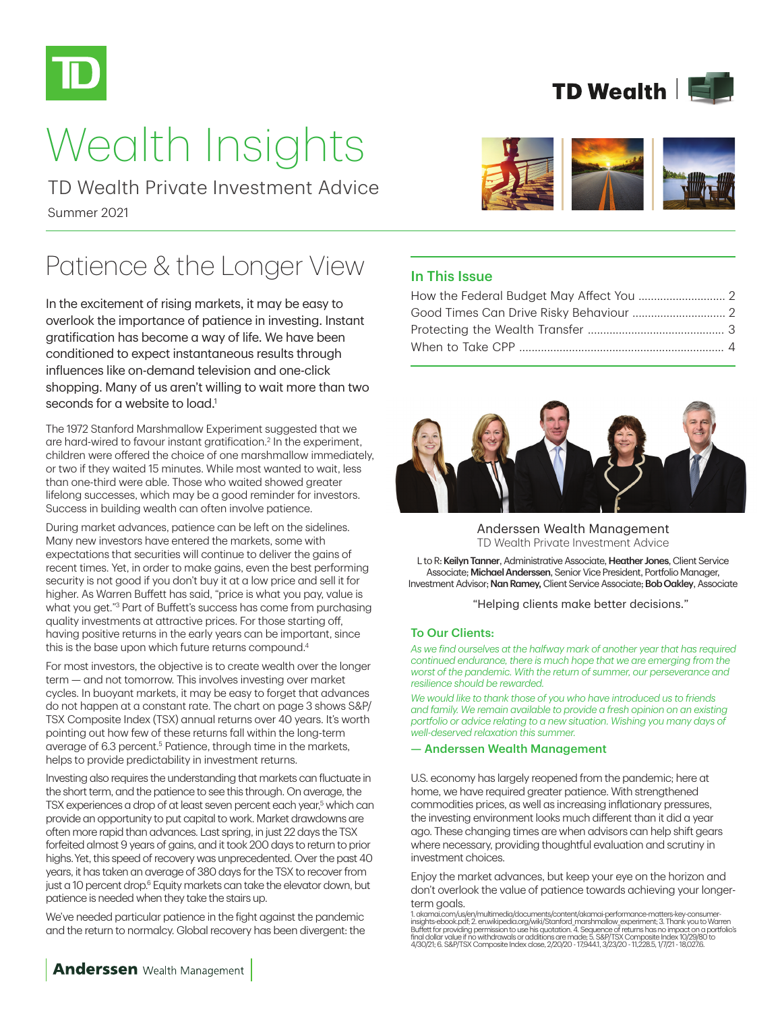

# Wealth Insights

Summer 2021 TD Wealth Private Investment Advice

# Patience & the Longer View

In the excitement of rising markets, it may be easy to overlook the importance of patience in investing. Instant gratification has become a way of life. We have been conditioned to expect instantaneous results through influences like on-demand television and one-click shopping. Many of us aren't willing to wait more than two seconds for a website to  $load<sup>1</sup>$ 

The 1972 Stanford Marshmallow Experiment suggested that we are hard-wired to favour instant gratification.<sup>2</sup> In the experiment, children were offered the choice of one marshmallow immediately, or two if they waited 15 minutes. While most wanted to wait, less than one-third were able. Those who waited showed greater lifelong successes, which may be a good reminder for investors. Success in building wealth can often involve patience.

During market advances, patience can be left on the sidelines. Many new investors have entered the markets, some with expectations that securities will continue to deliver the gains of recent times. Yet, in order to make gains, even the best performing security is not good if you don't buy it at a low price and sell it for higher. As Warren Buffett has said, "price is what you pay, value is what you get."3 Part of Buffett's success has come from purchasing quality investments at attractive prices. For those starting off, having positive returns in the early years can be important, since this is the base upon which future returns compound.<sup>4</sup>

For most investors, the objective is to create wealth over the longer term — and not tomorrow. This involves investing over market cycles. In buoyant markets, it may be easy to forget that advances do not happen at a constant rate. The chart on page 3 shows S&P/ TSX Composite Index (TSX) annual returns over 40 years. It's worth pointing out how few of these returns fall within the long-term average of 6.3 percent.<sup>5</sup> Patience, through time in the markets, helps to provide predictability in investment returns.

Investing also requires the understanding that markets can fluctuate in the short term, and the patience to see this through. On average, the TSX experiences a drop of at least seven percent each year,<sup>5</sup> which can provide an opportunity to put capital to work. Market drawdowns are often more rapid than advances. Last spring, in just 22 days the TSX forfeited almost 9 years of gains, and it took 200 days to return to prior highs.Yet, this speed of recovery was unprecedented. Over the past 40 years, it has taken an average of 380 days for the TSX to recover from just a 10 percent drop.<sup>6</sup> Equity markets can take the elevator down, but patience is needed when they take the stairs up.

We've needed particular patience in the fight against the pandemic and the return to normalcy. Global recovery has been divergent: the





### In This Issue



Anderssen Wealth Management TD Wealth Private Investment Advice

L to R: Keilyn Tanner, Administrative Associate, Heather Jones, Client Service Associate; Michael Anderssen, Senior Vice President, Portfolio Manager, Investment Advisor; Nan Ramey, Client Service Associate; Bob Oakley, Associate

"Helping clients make better decisions."

#### To Our Clients:

*As we find ourselves at the halfway mark of another year that has required continued endurance, there is much hope that we are emerging from the worst of the pandemic. With the return of summer, our perseverance and resilience should be rewarded.*

*We would like to thank those of you who have introduced us to friends and family. We remain available to provide a fresh opinion on an existing portfolio or advice relating to a new situation. Wishing you many days of well-deserved relaxation this summer.*

#### — Anderssen Wealth Management

U.S. economy has largely reopened from the pandemic; here at home, we have required greater patience. With strengthened commodities prices, as well as increasing inflationary pressures, the investing environment looks much different than it did a year ago. These changing times are when advisors can help shift gears where necessary, providing thoughtful evaluation and scrutiny in investment choices.

Enjoy the market advances, but keep your eye on the horizon and don't overlook the value of patience towards achieving your longerterm goals.

1. akamai.com/us/en/multimedia/documents/content/akamai-performance-matters-key-consumerinsights-ebook.pdf; 2. en.wikipedia.org/wiki/Stanford\_marshmallow\_experiment; 3. Thank you to Warren<br>Buffett for providing permission to use his quotation. 4. Sequence of returns has no impact on a portfolio's<br>final dollar 4/30/21; 6. S&P/TSX Composite Index close, 2/20/20 - 17,944.1, 3/23/20 - 11,228.5, 1/7/21 - 18,027.6.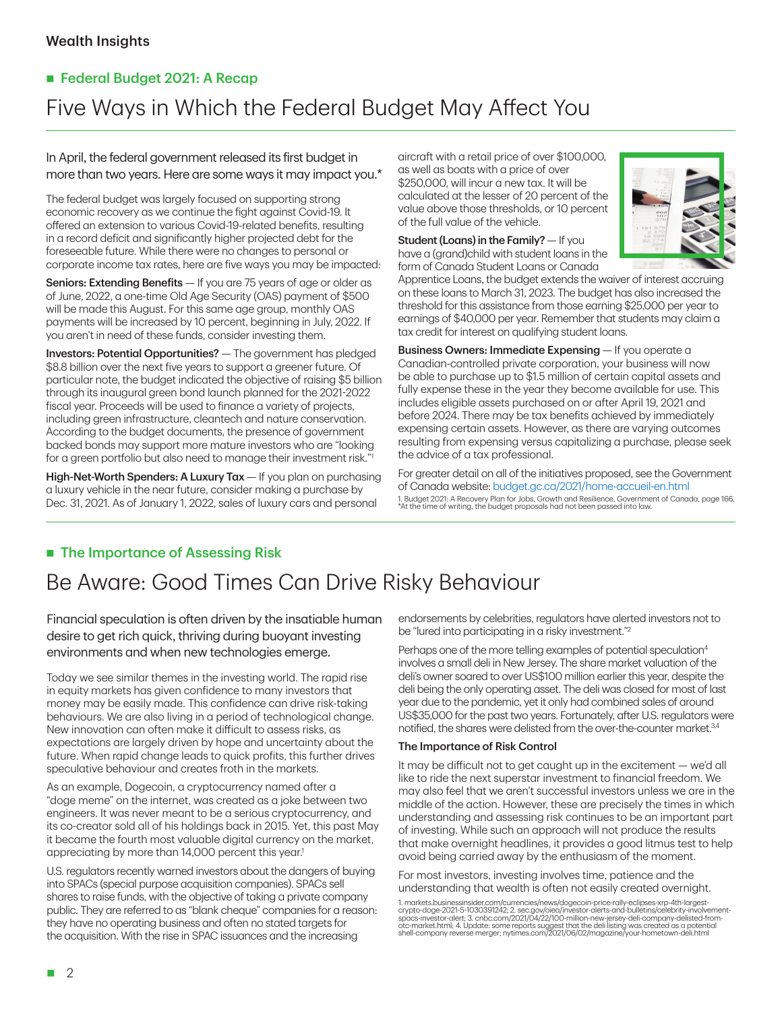# ■ Federal Budget 2021: A Recap Five Ways in Which the Federal Budget May Affect You

### In April, the federal government released its first budget in more than two years. Here are some ways it may impact you.\*

The federal budget was largely focused on supporting strong economic recovery as we continue the fight against Covid-19. It offered an extension to various Covid-19-related benefits, resulting in a record deficit and significantly higher projected debt for the foreseeable future. While there were no changes to personal or corporate income tax rates, here are five ways you may be impacted:

Seniors: Extending Benefits - If you are 75 years of age or older as of June, 2022, a one-time Old Age Security (OAS) payment of \$500 will be made this August. For this same age group, monthly OAS payments will be increased by 10 percent, beginning in July, 2022. If you aren't in need of these funds, consider investing them.

Investors: Potential Opportunities? — The government has pledged \$8.8 billion over the next five years to support a greener future. Of particular note, the budget indicated the objective of raising \$5 billion through its inaugural green bond launch planned for the 2021-2022 fiscal year. Proceeds will be used to finance a variety of projects, including green infrastructure, cleantech and nature conservation. According to the budget documents, the presence of government backed bonds may support more mature investors who are "looking for a green portfolio but also need to manage their investment risk.

High-Net-Worth Spenders: A Luxury Tax - If you plan on purchasing a luxury vehicle in the near future, consider making a purchase by Dec. 31, 2021. As of January 1, 2022, sales of luxury cars and personal

aircraft with a retail price of over \$100,000, as well as boats with a price of over \$250,000, will incur a new tax. It will be calculated at the lesser of 20 percent of the value above those thresholds, or 10 percent of the full value of the vehicle.

Student (Loans) in the Family? — If you have a (grand)child with student loans in the form of Canada Student Loans or Canada



Apprentice Loans, the budget extends the waiver of interest accruing on these loans to March 31, 2023. The budget has also increased the threshold for this assistance from those earning \$25,000 per year to earnings of \$40,000 per year. Remember that students may claim a tax credit for interest on qualifying student loans.

Business Owners: Immediate Expensing - If you operate a Canadian-controlled private corporation, your business will now be able to purchase up to \$1.5 million of certain capital assets and fully expense these in the year they become available for use. This includes eligible assets purchased on or after April 19, 2021 and before 2024. There may be tax benefits achieved by immediately expensing certain assets. However, as there are varying outcomes resulting from expensing versus capitalizing a purchase, please seek the advice of a tax professional.

For greater detail on all of the initiatives proposed, see the Government of Canada website: budget.gc.ca/2021/home-accueil-en.html 1. Budget 2021: A Recovery Plan for Jobs, Growth and Resilience, Government of Canada, page 166. \*At the time of writing, the budget proposals had not been passed into law.

# ■ The Importance of Assessing Risk

# Be Aware: Good Times Can Drive Risky Behaviour

Financial speculation is often driven by the insatiable human desire to get rich quick, thriving during buoyant investing environments and when new technologies emerge.

Today we see similar themes in the investing world. The rapid rise in equity markets has given confidence to many investors that money may be easily made. This confidence can drive risk-taking behaviours. We are also living in a period of technological change. New innovation can often make it difficult to assess risks, as expectations are largely driven by hope and uncertainty about the future. When rapid change leads to quick profits, this further drives speculative behaviour and creates froth in the markets.

As an example, Dogecoin, a cryptocurrency named after a "doge meme" on the internet, was created as a joke between two engineers. It was never meant to be a serious cryptocurrency, and its co-creator sold all of his holdings back in 2015. Yet, this past May it became the fourth most valuable digital currency on the market, appreciating by more than 14,000 percent this year.<sup>1</sup>

U.S. regulators recently warned investors about the dangers of buying into SPACs (special purpose acquisition companies). SPACs sell shares to raise funds, with the objective of taking a private company public. They are referred to as "blank cheque" companies for a reason: they have no operating business and often no stated targets for the acquisition. With the rise in SPAC issuances and the increasing

endorsements by celebrities, regulators have alerted investors not to be "lured into participating in a risky investment."2

Perhaps one of the more telling examples of potential speculation<sup>4</sup> involves a small deli in New Jersey. The share market valuation of the deli's owner soared to over US\$100 million earlier this year, despite the deli being the only operating asset. The deli was closed for most of last year due to the pandemic, yet it only had combined sales of around US\$35,000 for the past two years. Fortunately, after U.S. regulators were notified, the shares were delisted from the over-the-counter market.<sup>3,4</sup>

#### The Importance of Risk Control

It may be difficult not to get caught up in the excitement — we'd all like to ride the next superstar investment to financial freedom. We may also feel that we aren't successful investors unless we are in the middle of the action. However, these are precisely the times in which understanding and assessing risk continues to be an important part of investing. While such an approach will not produce the results that make overnight headlines, it provides a good litmus test to help avoid being carried away by the enthusiasm of the moment.

For most investors, investing involves time, patience and the understanding that wealth is often not easily created overnight.

<sup>1.</sup> markets.businessinsider.com/currencies/news/dogecoin-price-rally-eclipses-xrp-4th-largest-<br>crypto-doge-2021-5-1030391242; 2. sec.gov/oied/investor-alerts-and-bulletins/celebrity-involvement-<br>spacs-investor-alert; 3. cnb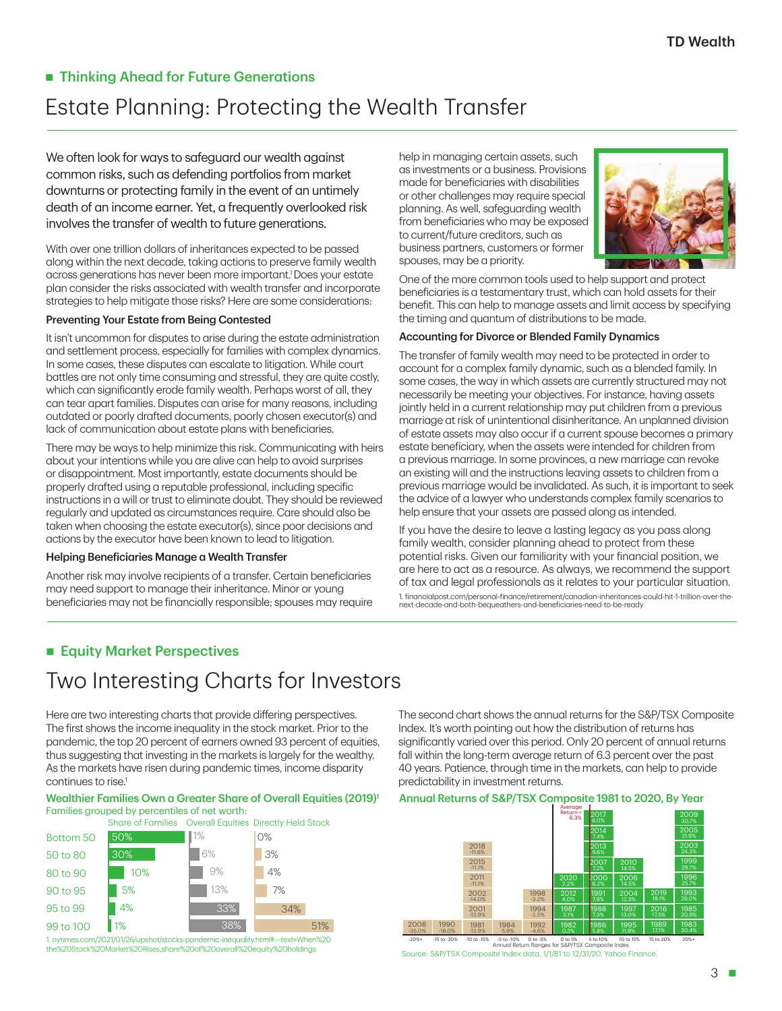## ■ Thinking Ahead for Future Generations

# Estate Planning: Protecting the Wealth Transfer

We often look for ways to safeguard our wealth against common risks, such as defending portfolios from market downturns or protecting family in the event of an untimely death of an income earner. Yet, a frequently overlooked risk involves the transfer of wealth to future generations.

With over one trillion dollars of inheritances expected to be passed along within the next decade, taking actions to preserve family wealth across generations has never been more important.1 Does your estate plan consider the risks associated with wealth transfer and incorporate strategies to help mitigate those risks? Here are some considerations:

#### Preventing Your Estate from Being Contested

It isn't uncommon for disputes to arise during the estate administration and settlement process, especially for families with complex dynamics. In some cases, these disputes can escalate to litigation. While court battles are not only time consuming and stressful, they are quite costly, which can significantly erode family wealth. Perhaps worst of all, they can tear apart families. Disputes can arise for many reasons, including outdated or poorly drafted documents, poorly chosen executor(s) and lack of communication about estate plans with beneficiaries.

There may be ways to help minimize this risk. Communicating with heirs about your intentions while you are alive can help to avoid surprises or disappointment. Most importantly, estate documents should be properly drafted using a reputable professional, including specific instructions in a will or trust to eliminate doubt. They should be reviewed regularly and updated as circumstances require. Care should also be taken when choosing the estate executor(s), since poor decisions and actions by the executor have been known to lead to litigation.

#### Helping Beneficiaries Manage a Wealth Transfer

Another risk may involve recipients of a transfer. Certain beneficiaries may need support to manage their inheritance. Minor or young beneficiaries may not be financially responsible; spouses may require help in managing certain assets, such as investments or a business. Provisions made for beneficiaries with disabilities or other challenges may require special planning. As well, safeguarding wealth from beneficiaries who may be exposed to current/future creditors, such as business partners, customers or former spouses, may be a priority.



One of the more common tools used to help support and protect beneficiaries is a testamentary trust, which can hold assets for their benefit. This can help to manage assets and limit access by specifying the timing and quantum of distributions to be made.

#### Accounting for Divorce or Blended Family Dynamics

The transfer of family wealth may need to be protected in order to account for a complex family dynamic, such as a blended family. In some cases, the way in which assets are currently structured may not necessarily be meeting your objectives. For instance, having assets jointly held in a current relationship may put children from a previous marriage at risk of unintentional disinheritance. An unplanned division of estate assets may also occur if a current spouse becomes a primary estate beneficiary, when the assets were intended for children from a previous marriage. In some provinces, a new marriage can revoke an existing will and the instructions leaving assets to children from a previous marriage would be invalidated. As such, it is important to seek the advice of a lawyer who understands complex family scenarios to help ensure that your assets are passed along as intended.

If you have the desire to leave a lasting legacy as you pass along family wealth, consider planning ahead to protect from these potential risks. Given our familiarity with your financial position, we are here to act as a resource. As always, we recommend the support of tax and legal professionals as it relates to your particular situation.

1. financialpost.com/personal-finance/retirement/canadian-inheritances-could-hit-1-trillion-over-thenext-decade-and-both-bequeathers-and-beneficiaries-need-to-be-ready

### **Equity Market Perspectives**

# Two Interesting Charts for Investors

Here are two interesting charts that provide differing perspectives. The first shows the income inequality in the stock market. Prior to the pandemic, the top 20 percent of earners owned 93 percent of equities, thus suggesting that investing in the markets is largely for the wealthy. As the markets have risen during pandemic times, income disparity continues to rise.<sup>1</sup>

#### Wealthier Families Own a Greater Share of Overall Equities (2019)<sup>1</sup> Families grouped by percentiles of net worth:



the%20Stock%20Market%20Rises,share%20of%20overall%20equity%20holdings

The second chart shows the annual returns for the S&P/TSX Composite Index. It's worth pointing out how the distribution of returns has significantly varied over this period. Only 20 percent of annual returns fall within the long-term average return of 6.3 percent over the past 40 years. Patience, through time in the markets, can help to provide predictability in investment returns.

#### Annual Returns of S&P/TSX Composite 1981 to 2020, By Year



Source: S&P/TSX Composite Index data, 1/1/81 to 12/31/20, Yahoo Finance. -15 to -20% -10 to -15% -5 to -10% 0 to -5% 0 to 5% 5 to 10% 10 to 15% 15 to 20% -20%+ 20%+ Annual Return Ranges for S&P/TSX Composite Index